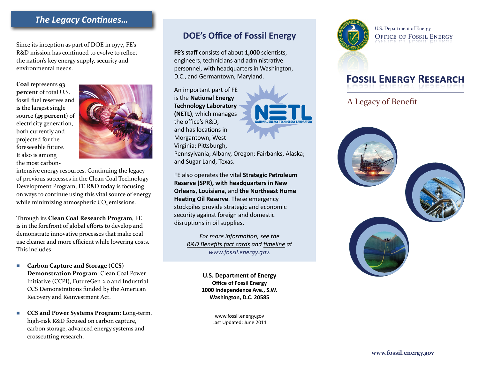## *The Legacy Continues…*

Since its inception as part of DOE in 1977, FE's R&D mission has continued to evolve to reflect the nation's key energy supply, security and environmental needs.

**Coal** represents **93 percent** of total U.S. fossil fuel reserves and is the largest single source (**45 percent**) of electricity generation, both currently and projected for the foreseeable future. It also is among the most carbon-



intensive energy resources. Continuing the legacy of previous successes in the Clean Coal Technology Development Program, FE R&D today is focusing on ways to continue using this vital source of energy while minimizing atmospheric CO<sub>2</sub> emissions.

Through its **Clean Coal Research Program**, FE is in the forefront of global efforts to develop and demonstrate innovative processes that make coal use cleaner and more efficient while lowering costs. This includes:

- **Carbon Capture and Storage (CCS) Demonstration Program**: Clean Coal Power Initiative (CCPI), FutureGen 2.0 and Industrial CCS Demonstrations funded by the American Recovery and Reinvestment Act.
- **CCS and Power Systems Program:** Long-term, high-risk R&D focused on carbon capture, carbon storage, advanced energy systems and crosscutting research.

## **DOE's Office of Fossil Energy**

**FE's staff** consists of about **1,000** scientists, engineers, technicians and administrative personnel, with headquarters in Washington, D.C., and Germantown, Maryland.

An important part of FE is the **National Energy Technology Laboratory (NETL)**, which manages the office's R&D, and has locations in Morgantown, West Virginia; Pittsburgh,



Pennsylvania; Albany, Oregon; Fairbanks, Alaska; and Sugar Land, Texas.

FE also operates the vital **Strategic Petroleum Reserve (SPR), with headquarters in New Orleans, Louisiana**, and **the Northeast Home Heating Oil Reserve**. These emergency stockpiles provide strategic and economic security against foreign and domestic disruptions in oil supplies.

*For more information, see the R&D Benefits fact cards and timeline at www.fossil.energy.gov.*

> **U.S. Department of Energy Office of Fossil Energy 1000 Independence Ave., S.W. Washington, D.C. 20585**

> > www.fossil.energy.gov Last Updated: June 2011



U.S. Department of Energy Office of Fossil Energy



# **Fossil Energy Research**

A Legacy of Benefit